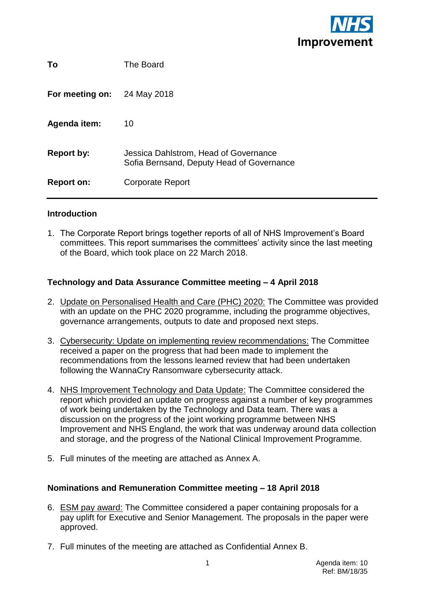

| To                | The Board                                                                          |
|-------------------|------------------------------------------------------------------------------------|
| For meeting on:   | 24 May 2018                                                                        |
| Agenda item:      | 10                                                                                 |
| <b>Report by:</b> | Jessica Dahlstrom, Head of Governance<br>Sofia Bernsand, Deputy Head of Governance |
| <b>Report on:</b> | <b>Corporate Report</b>                                                            |

### **Introduction**

1. The Corporate Report brings together reports of all of NHS Improvement's Board committees. This report summarises the committees' activity since the last meeting of the Board, which took place on 22 March 2018.

### **Technology and Data Assurance Committee meeting – 4 April 2018**

- 2. Update on Personalised Health and Care (PHC) 2020: The Committee was provided with an update on the PHC 2020 programme, including the programme objectives, governance arrangements, outputs to date and proposed next steps.
- 3. Cybersecurity: Update on implementing review recommendations: The Committee received a paper on the progress that had been made to implement the recommendations from the lessons learned review that had been undertaken following the WannaCry Ransomware cybersecurity attack.
- 4. NHS Improvement Technology and Data Update: The Committee considered the report which provided an update on progress against a number of key programmes of work being undertaken by the Technology and Data team. There was a discussion on the progress of the joint working programme between NHS Improvement and NHS England, the work that was underway around data collection and storage, and the progress of the National Clinical Improvement Programme.
- 5. Full minutes of the meeting are attached as Annex A.

### **Nominations and Remuneration Committee meeting – 18 April 2018**

- 6. ESM pay award: The Committee considered a paper containing proposals for a pay uplift for Executive and Senior Management. The proposals in the paper were approved.
- 7. Full minutes of the meeting are attached as Confidential Annex B.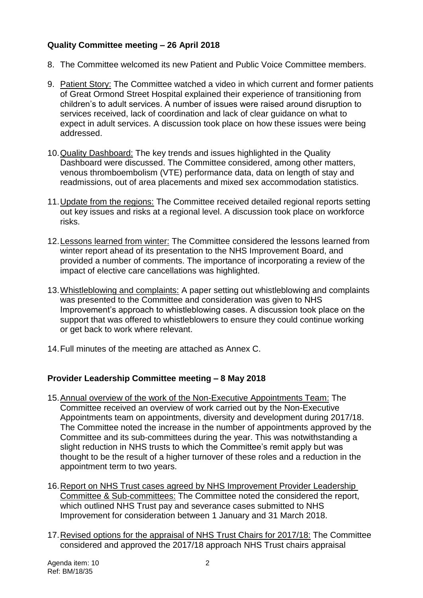# **Quality Committee meeting – 26 April 2018**

- 8. The Committee welcomed its new Patient and Public Voice Committee members.
- 9. Patient Story: The Committee watched a video in which current and former patients of Great Ormond Street Hospital explained their experience of transitioning from children's to adult services. A number of issues were raised around disruption to services received, lack of coordination and lack of clear guidance on what to expect in adult services. A discussion took place on how these issues were being addressed.
- 10.Quality Dashboard: The key trends and issues highlighted in the Quality Dashboard were discussed. The Committee considered, among other matters, venous thromboembolism (VTE) performance data, data on length of stay and readmissions, out of area placements and mixed sex accommodation statistics.
- 11. Update from the regions: The Committee received detailed regional reports setting out key issues and risks at a regional level. A discussion took place on workforce risks.
- 12.Lessons learned from winter: The Committee considered the lessons learned from winter report ahead of its presentation to the NHS Improvement Board, and provided a number of comments. The importance of incorporating a review of the impact of elective care cancellations was highlighted.
- 13.Whistleblowing and complaints: A paper setting out whistleblowing and complaints was presented to the Committee and consideration was given to NHS Improvement's approach to whistleblowing cases. A discussion took place on the support that was offered to whistleblowers to ensure they could continue working or get back to work where relevant.
- 14.Full minutes of the meeting are attached as Annex C.

# **Provider Leadership Committee meeting – 8 May 2018**

- 15.Annual overview of the work of the Non-Executive Appointments Team: The Committee received an overview of work carried out by the Non-Executive Appointments team on appointments, diversity and development during 2017/18. The Committee noted the increase in the number of appointments approved by the Committee and its sub-committees during the year. This was notwithstanding a slight reduction in NHS trusts to which the Committee's remit apply but was thought to be the result of a higher turnover of these roles and a reduction in the appointment term to two years.
- 16. Report on NHS Trust cases agreed by NHS Improvement Provider Leadership Committee & Sub-committees: The Committee noted the considered the report, which outlined NHS Trust pay and severance cases submitted to NHS Improvement for consideration between 1 January and 31 March 2018.
- 17.Revised options for the appraisal of NHS Trust Chairs for 2017/18: The Committee considered and approved the 2017/18 approach NHS Trust chairs appraisal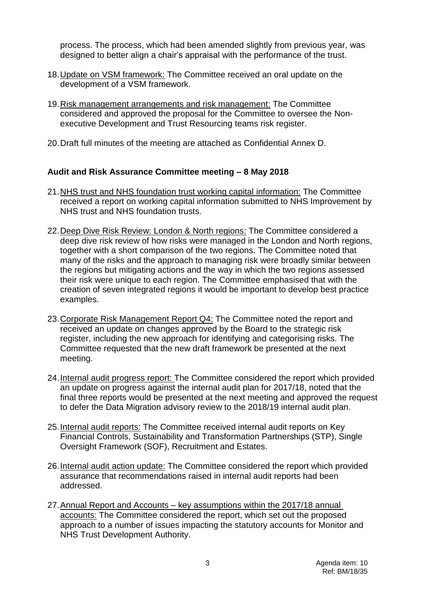process. The process, which had been amended slightly from previous year, was designed to better align a chair's appraisal with the performance of the trust.

- 18.Update on VSM framework: The Committee received an oral update on the development of a VSM framework.
- 19.Risk management arrangements and risk management: The Committee considered and approved the proposal for the Committee to oversee the Nonexecutive Development and Trust Resourcing teams risk register.
- 20.Draft full minutes of the meeting are attached as Confidential Annex D.

### **Audit and Risk Assurance Committee meeting – 8 May 2018**

- 21.NHS trust and NHS foundation trust working capital information: The Committee received a report on working capital information submitted to NHS Improvement by NHS trust and NHS foundation trusts.
- 22.Deep Dive Risk Review: London & North regions: The Committee considered a deep dive risk review of how risks were managed in the London and North regions, together with a short comparison of the two regions. The Committee noted that many of the risks and the approach to managing risk were broadly similar between the regions but mitigating actions and the way in which the two regions assessed their risk were unique to each region. The Committee emphasised that with the creation of seven integrated regions it would be important to develop best practice examples.
- 23. Corporate Risk Management Report Q4: The Committee noted the report and received an update on changes approved by the Board to the strategic risk register, including the new approach for identifying and categorising risks. The Committee requested that the new draft framework be presented at the next meeting.
- 24.Internal audit progress report: The Committee considered the report which provided an update on progress against the internal audit plan for 2017/18, noted that the final three reports would be presented at the next meeting and approved the request to defer the Data Migration advisory review to the 2018/19 internal audit plan.
- 25. Internal audit reports: The Committee received internal audit reports on Key Financial Controls, Sustainability and Transformation Partnerships (STP), Single Oversight Framework (SOF), Recruitment and Estates.
- 26. Internal audit action update: The Committee considered the report which provided assurance that recommendations raised in internal audit reports had been addressed.
- 27.Annual Report and Accounts key assumptions within the 2017/18 annual accounts: The Committee considered the report, which set out the proposed approach to a number of issues impacting the statutory accounts for Monitor and NHS Trust Development Authority.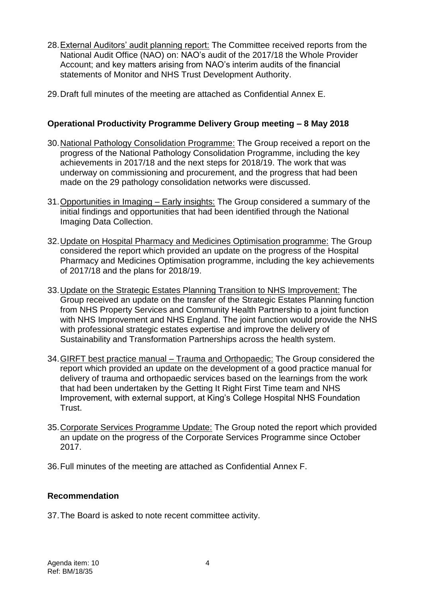- 28.External Auditors' audit planning report: The Committee received reports from the National Audit Office (NAO) on: NAO's audit of the 2017/18 the Whole Provider Account; and key matters arising from NAO's interim audits of the financial statements of Monitor and NHS Trust Development Authority.
- 29.Draft full minutes of the meeting are attached as Confidential Annex E.

# **Operational Productivity Programme Delivery Group meeting – 8 May 2018**

- 30. National Pathology Consolidation Programme: The Group received a report on the progress of the National Pathology Consolidation Programme, including the key achievements in 2017/18 and the next steps for 2018/19. The work that was underway on commissioning and procurement, and the progress that had been made on the 29 pathology consolidation networks were discussed.
- 31.Opportunities in Imaging Early insights: The Group considered a summary of the initial findings and opportunities that had been identified through the National Imaging Data Collection.
- 32.Update on Hospital Pharmacy and Medicines Optimisation programme: The Group considered the report which provided an update on the progress of the Hospital Pharmacy and Medicines Optimisation programme, including the key achievements of 2017/18 and the plans for 2018/19.
- 33.Update on the Strategic Estates Planning Transition to NHS Improvement: The Group received an update on the transfer of the Strategic Estates Planning function from NHS Property Services and Community Health Partnership to a joint function with NHS Improvement and NHS England. The joint function would provide the NHS with professional strategic estates expertise and improve the delivery of Sustainability and Transformation Partnerships across the health system.
- 34.GIRFT best practice manual Trauma and Orthopaedic: The Group considered the report which provided an update on the development of a good practice manual for delivery of trauma and orthopaedic services based on the learnings from the work that had been undertaken by the Getting It Right First Time team and NHS Improvement, with external support, at King's College Hospital NHS Foundation Trust.
- 35. Corporate Services Programme Update: The Group noted the report which provided an update on the progress of the Corporate Services Programme since October 2017.
- 36.Full minutes of the meeting are attached as Confidential Annex F.

# **Recommendation**

37.The Board is asked to note recent committee activity.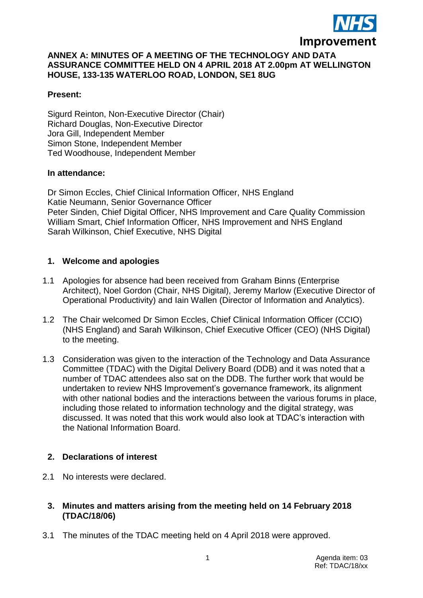

### **ANNEX A: MINUTES OF A MEETING OF THE TECHNOLOGY AND DATA ASSURANCE COMMITTEE HELD ON 4 APRIL 2018 AT 2.00pm AT WELLINGTON HOUSE, 133-135 WATERLOO ROAD, LONDON, SE1 8UG**

#### **Present:**

Sigurd Reinton, Non-Executive Director (Chair) Richard Douglas, Non-Executive Director Jora Gill, Independent Member Simon Stone, Independent Member Ted Woodhouse, Independent Member

#### **In attendance:**

Dr Simon Eccles, Chief Clinical Information Officer, NHS England Katie Neumann, Senior Governance Officer Peter Sinden, Chief Digital Officer, NHS Improvement and Care Quality Commission William Smart, Chief Information Officer, NHS Improvement and NHS England Sarah Wilkinson, Chief Executive, NHS Digital

### **1. Welcome and apologies**

- 1.1 Apologies for absence had been received from Graham Binns (Enterprise Architect), Noel Gordon (Chair, NHS Digital), Jeremy Marlow (Executive Director of Operational Productivity) and Iain Wallen (Director of Information and Analytics).
- 1.2 The Chair welcomed Dr Simon Eccles, Chief Clinical Information Officer (CCIO) (NHS England) and Sarah Wilkinson, Chief Executive Officer (CEO) (NHS Digital) to the meeting.
- 1.3 Consideration was given to the interaction of the Technology and Data Assurance Committee (TDAC) with the Digital Delivery Board (DDB) and it was noted that a number of TDAC attendees also sat on the DDB. The further work that would be undertaken to review NHS Improvement's governance framework, its alignment with other national bodies and the interactions between the various forums in place, including those related to information technology and the digital strategy, was discussed. It was noted that this work would also look at TDAC's interaction with the National Information Board.

### **2. Declarations of interest**

2.1 No interests were declared.

### **3. Minutes and matters arising from the meeting held on 14 February 2018 (TDAC/18/06)**

3.1 The minutes of the TDAC meeting held on 4 April 2018 were approved.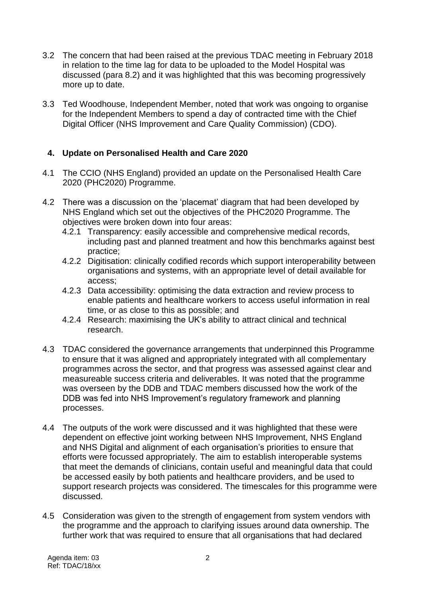- 3.2 The concern that had been raised at the previous TDAC meeting in February 2018 in relation to the time lag for data to be uploaded to the Model Hospital was discussed (para 8.2) and it was highlighted that this was becoming progressively more up to date.
- 3.3 Ted Woodhouse, Independent Member, noted that work was ongoing to organise for the Independent Members to spend a day of contracted time with the Chief Digital Officer (NHS Improvement and Care Quality Commission) (CDO).

# **4. Update on Personalised Health and Care 2020**

- 4.1 The CCIO (NHS England) provided an update on the Personalised Health Care 2020 (PHC2020) Programme.
- 4.2 There was a discussion on the 'placemat' diagram that had been developed by NHS England which set out the objectives of the PHC2020 Programme. The objectives were broken down into four areas:
	- 4.2.1 Transparency: easily accessible and comprehensive medical records, including past and planned treatment and how this benchmarks against best practice;
	- 4.2.2 Digitisation: clinically codified records which support interoperability between organisations and systems, with an appropriate level of detail available for access;
	- 4.2.3 Data accessibility: optimising the data extraction and review process to enable patients and healthcare workers to access useful information in real time, or as close to this as possible; and
	- 4.2.4 Research: maximising the UK's ability to attract clinical and technical research.
- 4.3 TDAC considered the governance arrangements that underpinned this Programme to ensure that it was aligned and appropriately integrated with all complementary programmes across the sector, and that progress was assessed against clear and measureable success criteria and deliverables. It was noted that the programme was overseen by the DDB and TDAC members discussed how the work of the DDB was fed into NHS Improvement's regulatory framework and planning processes.
- 4.4 The outputs of the work were discussed and it was highlighted that these were dependent on effective joint working between NHS Improvement, NHS England and NHS Digital and alignment of each organisation's priorities to ensure that efforts were focussed appropriately. The aim to establish interoperable systems that meet the demands of clinicians, contain useful and meaningful data that could be accessed easily by both patients and healthcare providers, and be used to support research projects was considered. The timescales for this programme were discussed.
- 4.5 Consideration was given to the strength of engagement from system vendors with the programme and the approach to clarifying issues around data ownership. The further work that was required to ensure that all organisations that had declared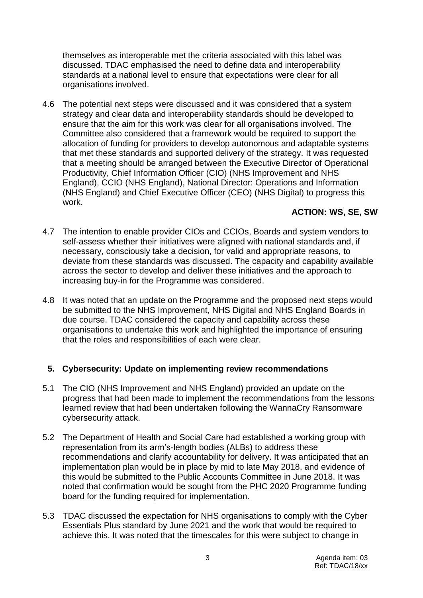themselves as interoperable met the criteria associated with this label was discussed. TDAC emphasised the need to define data and interoperability standards at a national level to ensure that expectations were clear for all organisations involved.

4.6 The potential next steps were discussed and it was considered that a system strategy and clear data and interoperability standards should be developed to ensure that the aim for this work was clear for all organisations involved. The Committee also considered that a framework would be required to support the allocation of funding for providers to develop autonomous and adaptable systems that met these standards and supported delivery of the strategy. It was requested that a meeting should be arranged between the Executive Director of Operational Productivity, Chief Information Officer (CIO) (NHS Improvement and NHS England), CCIO (NHS England), National Director: Operations and Information (NHS England) and Chief Executive Officer (CEO) (NHS Digital) to progress this work.

### **ACTION: WS, SE, SW**

- 4.7 The intention to enable provider CIOs and CCIOs, Boards and system vendors to self-assess whether their initiatives were aligned with national standards and, if necessary, consciously take a decision, for valid and appropriate reasons, to deviate from these standards was discussed. The capacity and capability available across the sector to develop and deliver these initiatives and the approach to increasing buy-in for the Programme was considered.
- 4.8 It was noted that an update on the Programme and the proposed next steps would be submitted to the NHS Improvement, NHS Digital and NHS England Boards in due course. TDAC considered the capacity and capability across these organisations to undertake this work and highlighted the importance of ensuring that the roles and responsibilities of each were clear.

### **5. Cybersecurity: Update on implementing review recommendations**

- 5.1 The CIO (NHS Improvement and NHS England) provided an update on the progress that had been made to implement the recommendations from the lessons learned review that had been undertaken following the WannaCry Ransomware cybersecurity attack.
- 5.2 The Department of Health and Social Care had established a working group with representation from its arm's-length bodies (ALBs) to address these recommendations and clarify accountability for delivery. It was anticipated that an implementation plan would be in place by mid to late May 2018, and evidence of this would be submitted to the Public Accounts Committee in June 2018. It was noted that confirmation would be sought from the PHC 2020 Programme funding board for the funding required for implementation.
- 5.3 TDAC discussed the expectation for NHS organisations to comply with the Cyber Essentials Plus standard by June 2021 and the work that would be required to achieve this. It was noted that the timescales for this were subject to change in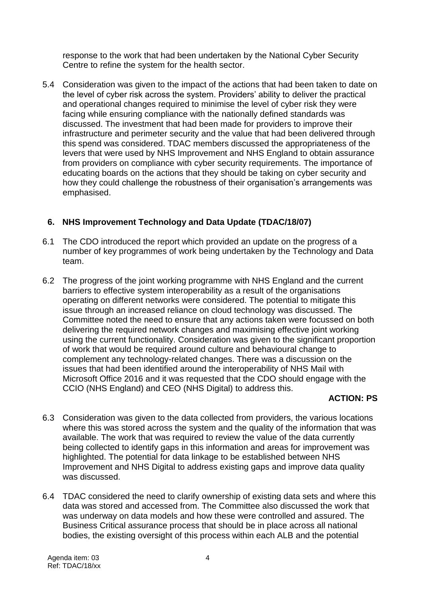response to the work that had been undertaken by the National Cyber Security Centre to refine the system for the health sector.

5.4 Consideration was given to the impact of the actions that had been taken to date on the level of cyber risk across the system. Providers' ability to deliver the practical and operational changes required to minimise the level of cyber risk they were facing while ensuring compliance with the nationally defined standards was discussed. The investment that had been made for providers to improve their infrastructure and perimeter security and the value that had been delivered through this spend was considered. TDAC members discussed the appropriateness of the levers that were used by NHS Improvement and NHS England to obtain assurance from providers on compliance with cyber security requirements. The importance of educating boards on the actions that they should be taking on cyber security and how they could challenge the robustness of their organisation's arrangements was emphasised.

# **6. NHS Improvement Technology and Data Update (TDAC/18/07)**

- 6.1 The CDO introduced the report which provided an update on the progress of a number of key programmes of work being undertaken by the Technology and Data team.
- 6.2 The progress of the joint working programme with NHS England and the current barriers to effective system interoperability as a result of the organisations operating on different networks were considered. The potential to mitigate this issue through an increased reliance on cloud technology was discussed. The Committee noted the need to ensure that any actions taken were focussed on both delivering the required network changes and maximising effective joint working using the current functionality. Consideration was given to the significant proportion of work that would be required around culture and behavioural change to complement any technology-related changes. There was a discussion on the issues that had been identified around the interoperability of NHS Mail with Microsoft Office 2016 and it was requested that the CDO should engage with the CCIO (NHS England) and CEO (NHS Digital) to address this.

# **ACTION: PS**

- 6.3 Consideration was given to the data collected from providers, the various locations where this was stored across the system and the quality of the information that was available. The work that was required to review the value of the data currently being collected to identify gaps in this information and areas for improvement was highlighted. The potential for data linkage to be established between NHS Improvement and NHS Digital to address existing gaps and improve data quality was discussed.
- 6.4 TDAC considered the need to clarify ownership of existing data sets and where this data was stored and accessed from. The Committee also discussed the work that was underway on data models and how these were controlled and assured. The Business Critical assurance process that should be in place across all national bodies, the existing oversight of this process within each ALB and the potential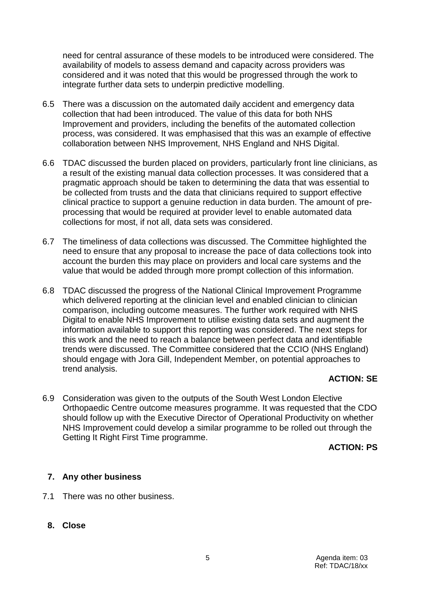need for central assurance of these models to be introduced were considered. The availability of models to assess demand and capacity across providers was considered and it was noted that this would be progressed through the work to integrate further data sets to underpin predictive modelling.

- 6.5 There was a discussion on the automated daily accident and emergency data collection that had been introduced. The value of this data for both NHS Improvement and providers, including the benefits of the automated collection process, was considered. It was emphasised that this was an example of effective collaboration between NHS Improvement, NHS England and NHS Digital.
- 6.6 TDAC discussed the burden placed on providers, particularly front line clinicians, as a result of the existing manual data collection processes. It was considered that a pragmatic approach should be taken to determining the data that was essential to be collected from trusts and the data that clinicians required to support effective clinical practice to support a genuine reduction in data burden. The amount of preprocessing that would be required at provider level to enable automated data collections for most, if not all, data sets was considered.
- 6.7 The timeliness of data collections was discussed. The Committee highlighted the need to ensure that any proposal to increase the pace of data collections took into account the burden this may place on providers and local care systems and the value that would be added through more prompt collection of this information.
- 6.8 TDAC discussed the progress of the National Clinical Improvement Programme which delivered reporting at the clinician level and enabled clinician to clinician comparison, including outcome measures. The further work required with NHS Digital to enable NHS Improvement to utilise existing data sets and augment the information available to support this reporting was considered. The next steps for this work and the need to reach a balance between perfect data and identifiable trends were discussed. The Committee considered that the CCIO (NHS England) should engage with Jora Gill, Independent Member, on potential approaches to trend analysis.

# **ACTION: SE**

6.9 Consideration was given to the outputs of the South West London Elective Orthopaedic Centre outcome measures programme. It was requested that the CDO should follow up with the Executive Director of Operational Productivity on whether NHS Improvement could develop a similar programme to be rolled out through the Getting It Right First Time programme.

### **ACTION: PS**

# **7. Any other business**

- 7.1 There was no other business.
	- **8. Close**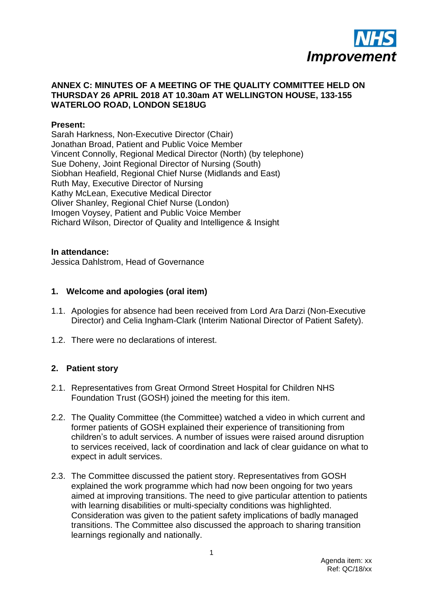

### **ANNEX C: MINUTES OF A MEETING OF THE QUALITY COMMITTEE HELD ON THURSDAY 26 APRIL 2018 AT 10.30am AT WELLINGTON HOUSE, 133-155 WATERLOO ROAD, LONDON SE18UG**

#### **Present:**

Sarah Harkness, Non-Executive Director (Chair) Jonathan Broad, Patient and Public Voice Member Vincent Connolly, Regional Medical Director (North) (by telephone) Sue Doheny, Joint Regional Director of Nursing (South) Siobhan Heafield, Regional Chief Nurse (Midlands and East) Ruth May, Executive Director of Nursing Kathy McLean, Executive Medical Director Oliver Shanley, Regional Chief Nurse (London) Imogen Voysey, Patient and Public Voice Member Richard Wilson, Director of Quality and Intelligence & Insight

#### **In attendance:**

Jessica Dahlstrom, Head of Governance

### **1. Welcome and apologies (oral item)**

- 1.1. Apologies for absence had been received from Lord Ara Darzi (Non-Executive Director) and Celia Ingham-Clark (Interim National Director of Patient Safety).
- 1.2. There were no declarations of interest.

### **2. Patient story**

- 2.1. Representatives from Great Ormond Street Hospital for Children NHS Foundation Trust (GOSH) joined the meeting for this item.
- 2.2. The Quality Committee (the Committee) watched a video in which current and former patients of GOSH explained their experience of transitioning from children's to adult services. A number of issues were raised around disruption to services received, lack of coordination and lack of clear guidance on what to expect in adult services.
- 2.3. The Committee discussed the patient story. Representatives from GOSH explained the work programme which had now been ongoing for two years aimed at improving transitions. The need to give particular attention to patients with learning disabilities or multi-specialty conditions was highlighted. Consideration was given to the patient safety implications of badly managed transitions. The Committee also discussed the approach to sharing transition learnings regionally and nationally.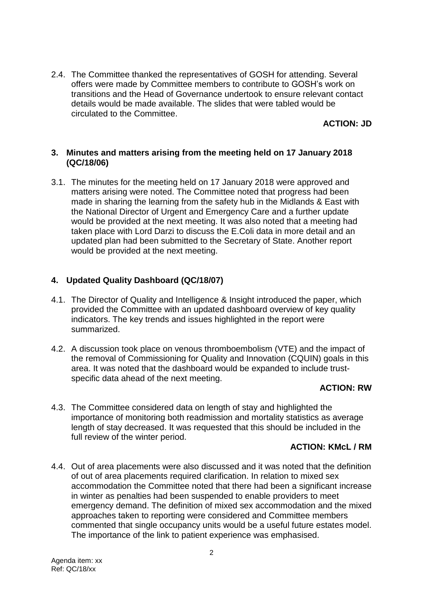2.4. The Committee thanked the representatives of GOSH for attending. Several offers were made by Committee members to contribute to GOSH's work on transitions and the Head of Governance undertook to ensure relevant contact details would be made available. The slides that were tabled would be circulated to the Committee.

**ACTION: JD**

### **3. Minutes and matters arising from the meeting held on 17 January 2018 (QC/18/06)**

3.1. The minutes for the meeting held on 17 January 2018 were approved and matters arising were noted. The Committee noted that progress had been made in sharing the learning from the safety hub in the Midlands & East with the National Director of Urgent and Emergency Care and a further update would be provided at the next meeting. It was also noted that a meeting had taken place with Lord Darzi to discuss the E.Coli data in more detail and an updated plan had been submitted to the Secretary of State. Another report would be provided at the next meeting.

# **4. Updated Quality Dashboard (QC/18/07)**

- 4.1. The Director of Quality and Intelligence & Insight introduced the paper, which provided the Committee with an updated dashboard overview of key quality indicators. The key trends and issues highlighted in the report were summarized.
- 4.2. A discussion took place on venous thromboembolism (VTE) and the impact of the removal of Commissioning for Quality and Innovation (CQUIN) goals in this area. It was noted that the dashboard would be expanded to include trustspecific data ahead of the next meeting.

### **ACTION: RW**

4.3. The Committee considered data on length of stay and highlighted the importance of monitoring both readmission and mortality statistics as average length of stay decreased. It was requested that this should be included in the full review of the winter period.

### **ACTION: KMcL / RM**

4.4. Out of area placements were also discussed and it was noted that the definition of out of area placements required clarification. In relation to mixed sex accommodation the Committee noted that there had been a significant increase in winter as penalties had been suspended to enable providers to meet emergency demand. The definition of mixed sex accommodation and the mixed approaches taken to reporting were considered and Committee members commented that single occupancy units would be a useful future estates model. The importance of the link to patient experience was emphasised.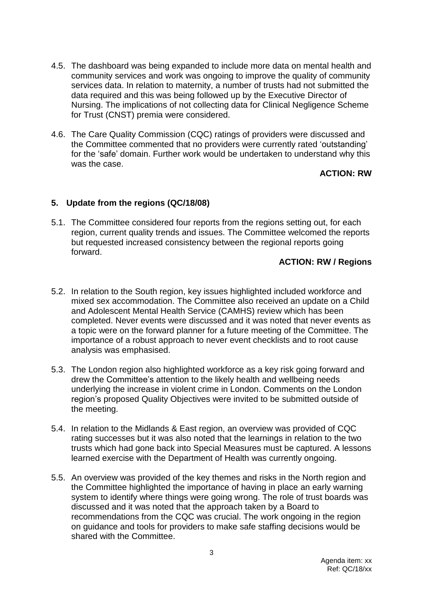- 4.5. The dashboard was being expanded to include more data on mental health and community services and work was ongoing to improve the quality of community services data. In relation to maternity, a number of trusts had not submitted the data required and this was being followed up by the Executive Director of Nursing. The implications of not collecting data for Clinical Negligence Scheme for Trust (CNST) premia were considered.
- 4.6. The Care Quality Commission (CQC) ratings of providers were discussed and the Committee commented that no providers were currently rated 'outstanding' for the 'safe' domain. Further work would be undertaken to understand why this was the case.

### **ACTION: RW**

### **5. Update from the regions (QC/18/08)**

5.1. The Committee considered four reports from the regions setting out, for each region, current quality trends and issues. The Committee welcomed the reports but requested increased consistency between the regional reports going forward.

### **ACTION: RW / Regions**

- 5.2. In relation to the South region, key issues highlighted included workforce and mixed sex accommodation. The Committee also received an update on a Child and Adolescent Mental Health Service (CAMHS) review which has been completed. Never events were discussed and it was noted that never events as a topic were on the forward planner for a future meeting of the Committee. The importance of a robust approach to never event checklists and to root cause analysis was emphasised.
- 5.3. The London region also highlighted workforce as a key risk going forward and drew the Committee's attention to the likely health and wellbeing needs underlying the increase in violent crime in London. Comments on the London region's proposed Quality Objectives were invited to be submitted outside of the meeting.
- 5.4. In relation to the Midlands & East region, an overview was provided of CQC rating successes but it was also noted that the learnings in relation to the two trusts which had gone back into Special Measures must be captured. A lessons learned exercise with the Department of Health was currently ongoing.
- 5.5. An overview was provided of the key themes and risks in the North region and the Committee highlighted the importance of having in place an early warning system to identify where things were going wrong. The role of trust boards was discussed and it was noted that the approach taken by a Board to recommendations from the CQC was crucial. The work ongoing in the region on guidance and tools for providers to make safe staffing decisions would be shared with the Committee.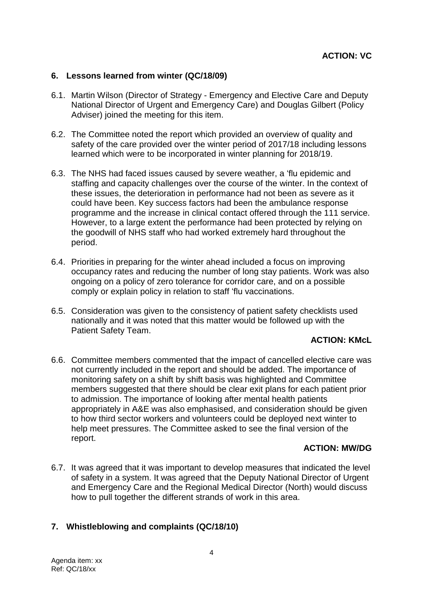#### **6. Lessons learned from winter (QC/18/09)**

- 6.1. Martin Wilson (Director of Strategy Emergency and Elective Care and Deputy National Director of Urgent and Emergency Care) and Douglas Gilbert (Policy Adviser) joined the meeting for this item.
- 6.2. The Committee noted the report which provided an overview of quality and safety of the care provided over the winter period of 2017/18 including lessons learned which were to be incorporated in winter planning for 2018/19.
- 6.3. The NHS had faced issues caused by severe weather, a 'flu epidemic and staffing and capacity challenges over the course of the winter. In the context of these issues, the deterioration in performance had not been as severe as it could have been. Key success factors had been the ambulance response programme and the increase in clinical contact offered through the 111 service. However, to a large extent the performance had been protected by relying on the goodwill of NHS staff who had worked extremely hard throughout the period.
- 6.4. Priorities in preparing for the winter ahead included a focus on improving occupancy rates and reducing the number of long stay patients. Work was also ongoing on a policy of zero tolerance for corridor care, and on a possible comply or explain policy in relation to staff 'flu vaccinations.
- 6.5. Consideration was given to the consistency of patient safety checklists used nationally and it was noted that this matter would be followed up with the Patient Safety Team.

### **ACTION: KMcL**

6.6. Committee members commented that the impact of cancelled elective care was not currently included in the report and should be added. The importance of monitoring safety on a shift by shift basis was highlighted and Committee members suggested that there should be clear exit plans for each patient prior to admission. The importance of looking after mental health patients appropriately in A&E was also emphasised, and consideration should be given to how third sector workers and volunteers could be deployed next winter to help meet pressures. The Committee asked to see the final version of the report.

### **ACTION: MW/DG**

6.7. It was agreed that it was important to develop measures that indicated the level of safety in a system. It was agreed that the Deputy National Director of Urgent and Emergency Care and the Regional Medical Director (North) would discuss how to pull together the different strands of work in this area.

### **7. Whistleblowing and complaints (QC/18/10)**